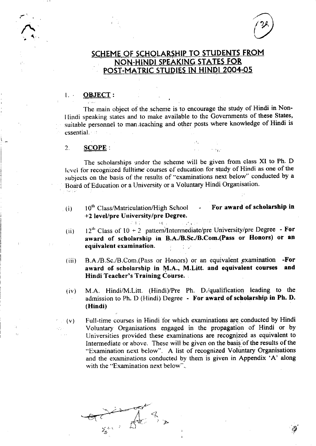

fj

# SCHEME OF SCHOLARSHIP TO STUDENTS FROM NON-HINDI SPEAKING STATES FOR POST-MATRIC STUDIES IN HINDI 2004-05

## 1., OBJECT:

The main object of the scheme is to encourage the study of Hindi in Nonllindi speaking states and to make available to the Covernments of these States, suitable personnel to man,teaching and other posts where knowledge of Hindi is essential.

#### $2.$   $SCOPE:$

ativo

The scholarships under the scheme will be given from class XI to Ph. D level for recognized fulltime courses of education for study of Hindi as one of the subjects on the basis of the results of "examinations next below" conducted by a Board of Education or a University or a Voluntary Hindi Organisation.

 $(1)$  10<sup>th</sup> Class/Matriculation/High School +2 level/pre University/pre Degree. For award of scholarship in

 $\Delta\mathbf{f}_{\rm{max}}$ 

**SEP** 

- (ii)  $12^{th}$  Class of  $10 + 2$  pattern/Intermediate/pre University/pre Degree For award of scholarship in B.A./B.Sc./B.Com.(Pass or Honors) or an equivalent examination.  $\frac{1}{2}$ :,
- (iii) B.A./B.Sc./B.Com.(Pass or Honors) or an equivalent examination -For<br>award of scholarship in M.A., M.Litt. and equivalent courses and award of scholarship in M.A., M.Litt. and equivalent courses Hindi Teacher's Training Course. .
- (iv) M.A. Hindi/M.Litt. (Hindi)/Pre Ph. D./qualification leading to the admission to Ph. D (Hindi) Degree - For award of scholarship in Ph. D. (Hindi)

 $(v)$  Full-time courses in Hindi for which examinations are conducted by Hindi Voluntary Organisations engaged in the propagation of Hindi or by Universities provided these examinations are recognized as equivalent to Intermediate or above. These will be given on the basis of the results of the "Examination next below". A list of recognized Voluntary Organisations and the examinations conducted by them is given in Appendix 'A' along with the "Examination next below"..

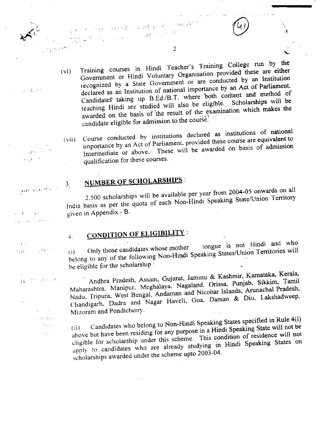Training courses in Hindi Teacher's Training College run by the Government or Hindi Voluntary Organisation provided these are either  $(v_i)$ recognized by a State Government or are conducted by an Institution declared as an Institution of national importance by an Act of Parliament. Candidates taking up B.Ed./B.T. where both content and method of Scholarships will be teaching Hindi are studied will also be eligible. awarded on the basis of the result of the examination which makes the candidate eligible for admission to the course.

 $\overline{2}$ 

Course conducted by institutions declared as institutions of national importance by an Act of Parliament, provided these course are equivalent to  $(vii)$ Intermediate or above. These will be awarded on basis of admission qualification for these courses.

# NUMBER OF SCHOLARSHIPS :

nya (padagon (1941)/2013)<br>Salah Sumah Padagon (1941)

2.500 scholarships will be available per year from 2004-05 onwards on all India basis as per the quota of each Non-Hindi Speaking State/Union Territory given in Appendix -  $B$ .

# CONDITION OF ELIGIBILITY :

tongue is not Hindi and who Only those candidates whose mother belong to any of the following Non-Hindi Speaking States/Union Territories will be eligible for the scholarship:

Andhra Pradesh, Assam, Gujarat, Jammu & Kashmir, Karnataka, Kerala, Maharashtra, Manipur, Meghalaya, Nagaland, Orissa, Punjab, Sikkim, Tamil Nadu, Tripura, West Bengal, Andaman and Nicobar Islands, Arunachal Pradesh, Chandigarh. Dadra and Nagar Haveli, Goa. Daman & Diu, Lakshadweep, Mizoram and Pondicherry.

Candidates who belong to Non-Hindi Speaking States specified in Rule 4(i) above but have been residing for any purpose in a Hindi Speaking State will not be  $(ii)$ cligible for scholarship under this scheme. This condition of residence will not apply to candidates who are already studying in Hindi Speaking States on scholarships awarded under the scheme upto 2003-04.

ge dansk

 $\sim$  00  $\times$ Page 4

o autenomik

 $3<sub>1</sub>$ 

 $\overline{+}$ .

 $\mathbf{a}$  $\sim 10$  $\sim 3-1$ 12938.5 1,111

- c  $\gamma$  and  $\gamma$  are  $\gamma$  and  $\gamma$  $\langle \xi \rangle$ 

 $\sim 7\, \mu$  $3 - 13 + 12 + 12 + 12$ i data  $\gamma_{\rm{th}}$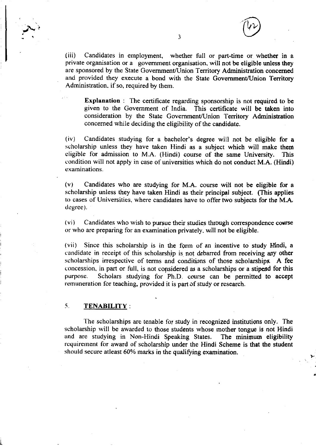$\binom{V}{V}$ 

(iii) Candidates in employment, whether full or part-time or whether in a private organisation or a government organisation, will not be eligible unless they are sponsored by the State Government/Union Territory Administration concerned and provided they execute a bond with the State Government/Union Territory Administration. if so, required by them.

Explanation : The certificate regarding sponsorship is not required to be given to the Government of India. This certificate will be taken into consideration by the State Government/Union Territory Administration concerned while deciding the eligibility of the candidate.

(iv) Candidates studying for a bachelor's degree will not be eligible for <sup>a</sup> scholarship unless they have taken Hindi as a subject which will make thern cligible for admission to M.A. (Hindi) course of the same University. This condition will not apply in case of universities which do not conduct M.A. (Hindi) examinations.

(v) Candidates who are studying for M.A. course will not be eligible for <sup>a</sup> scholarship unless they have taken Hindi as their principal subject. (This applies to cases of Universities, where candidates have to offer two subjects for the M.A. dcgree).

 $(v_i)$  Candidates who wish to pursue their studies through correspondence course or who are preparing for an examindtion privately, wjll not be eligible.

(vii) Since this scholarship is in the form of an incentive to study Hindi, a candidate in receipt of this scholarship is not debarred from receiving any other scholarships irrespective of terms and conditions of those scholarships. A fee concession, in part or full, is not considered as a scholarships or a stipend for this purpose. Scholars studying for Ph.D. course can be permifted to accept remuneration for teaching. provided it is part of study or research.

## .5. TENABILITY:

The scholarships are tenable for study in recognized institutions only. The scholarship will be awarded to those students whose mother tongue is not Hindi and are studying in Non-Hindi Speaking States. The minimum eligibility rcquirement for award of scholarship under the Hindi Scheme is that the student should secure at least  $60\%$  marks in the qualifying examination.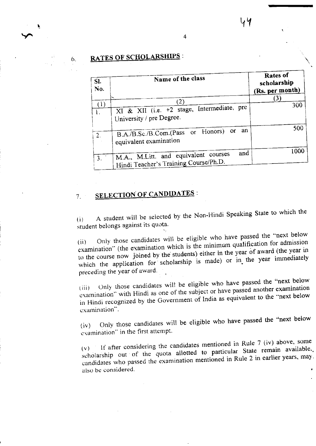#### 6.

# **RATES OF SCHOLARSHIPS:**

| SI.<br>No. | Name of the class                                                                    | Rates of<br>scholarship<br>(Rs. per month) |
|------------|--------------------------------------------------------------------------------------|--------------------------------------------|
|            | (2                                                                                   | (3)                                        |
| (1)        | XI & XII (i.e. +2 stage, Intermediate, pre<br>University / pre Degree.               | 300                                        |
|            | B.A./B.Sc./B.Com.(Pass or Honors) or an<br>equivalent examination                    | 500                                        |
|            | and<br>M.A., M.Litt. and equivalent courses<br>Hindi Teacher's Training Course/Ph.D. | 1000                                       |

 $\overline{4}$ 

#### **SELECTION OF CANDIDATES:**  $7<sub>1</sub>$

A student will be selected by the Non-Hindi Speaking State to which the  $(i)$ student belongs against its quota.

Only those candidates will be eligible who have passed the "next below examination" (the examination which is the minimum qualification for admission  $(ii)$ to the course now joined by the students) either in the year of award (the year in which the application for scholarship is made) or in the year immediately preceding the year of award.

Only those candidates will be eligible who have passed the "next below examination" with Hindi as one of the subject or have passed another examination in Hindi recognized by the Government of India as equivalent to the "next below examination".

Only those candidates will be eligible who have passed the "next below  $(iv)$ examination" in the first attempt.

 $(v)$  If after considering the candidates mentioned in Rule 7 (iv) above, some scholarship out of the quota allotted to particular State remain available. candidates who passed the examination mentioned in Rule 2 in earlier years, may. also be considered.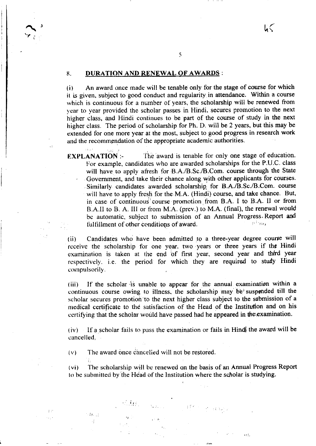#### 8.: DURATION AND RENEWAL OF AWARDS:

 $\ddot{\phantom{a}}$ 

siwe.

 $+11.11$ 

(i) An award once made will be tenable only for the stage of course for which it is given, subject to good conduct and regulariry in attendance. Within a course which is continuous for a number of years, the scholarship will be renewed from year to year provided the scholar passes in Hindi. secures promotion to the next higher class, and Hindi continues to be part of the course of study in the next higher class. The period of scholarship for Ph. D. will be 2 years, but this may be extended for one more year at the rnost, subject to good progress in research work and the recommendation of the appropriate academic authorities.

5

**EXPLANATION:-**The award is tenable for only one stage of education. For example, candidates who are awarded scholarships for the P.U.C. class will have to apply afresh for B.A./B.Sc./B.Com. course through the State . Govemrnent, and take their chance along with other applicants for courses. Similarly candidates awarded scholarship for B.A./B.Sc./B.Com. course will have to apply fresh for the M.A. (Hindi) course, and take chance. But, in case of continuous course promotion from B.A. I to B.A. II or from B.A.ll to B. A. III or from M.A. (prev.) to M.A. (final), the renewal would be automatic, subject to submission of an Annual Progress. Report and fulfillment of other conditions of award tulfillment of other conditiops of award.

(ii) Candidates who have been admitted to a three-year degree course will receive the scholarship for one year. two years or three years if the Hindi examination is taken at the end of first year, second year and third year respectively. i.e. the period for which they are required to study Hindi compulsorily.

(iii) If the scholar is unable to appear for the annual examination within a continuous course owing to illness, the scholarship may be suspended till the scholar secures promotion to the next higher class subject to the submission of a medical certificate to the satisfaction of the Head of the Institution and on his certifying that the scholar would have passed had he appeared in the examination.

 $(iv)$  If a scholar fails to pass the examination or fails in Hindl the award will be eancelled,

 $(v)$  The award once cancelied will not be restored.

(vi) The scholarship will be renewed on the basis of an Annual Progress Report to be submitted by the Head of the Institution where the scholar is studying.

 $\overline{H}$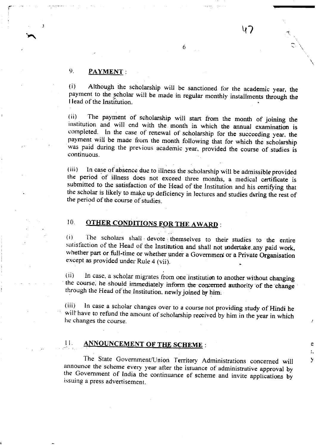## 9. **PAYMENT**:

(i) Although the scholarship will be sanctioned for the academic year, the payment to the scholar will be made in regular monthly installments through the I Iead of the lnstitution.

6

 $\mathsf{V}_J$ 

:

e ۵. У

(ii) The payment of scholarship will start from the month of joining the institution and will end with the month in which the annual examination is completed. In the case of renewal of scholarship for the succeeding year, was paid during the previous academic year, provided the course of studies is continuous.

(iii) In case of absence due to illness the scholarship will be admissible provided the period of illness does not exceed three months, a medical certificate is submitted to the satisfaction of the Head of the Institution and his certifying that the scholar is likely to make up deficiency in lectures and studies during the rest of the period of the course of studies.

t0. **OTHER CONDITIONS FOR THE AWARD:** 

(i) The scholars shall devote themselves to their studies to the entire satisfaction of the Head of the Institution and shall not undertake any paid work, whether part or full-time or whether under a Government or a Private Organisation except as provided under Rule 4 (vii).

(ii) In case, a scholar migrates from one institution to another without changing the course, he should immediately inform the concerned authority of the change through the Head of the Institution, newly joined by him:

(iii) In case a scholar changes over to a course not providing study of Hindi he will have to refund the amount of scholarship received by him in the year in which he changes the course.

#### ANNOUNCEMENT OF THE SCHEME : II

The State Government/Union Territory Administrations concerned will announce the scheme every year after the issuance of administrative approval by the Government of India the continuance of scheme and invite applications by issuing a press advertisement.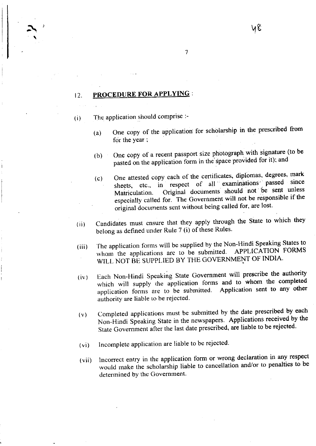## 12. PROCEDURE FOR APPLYING:

 $\sim$  volume  $\sim$  volume  $\sim$  volume  $\sim$  volume  $\sim$  volume  $\sim$  volume  $\sim$  volume  $\sim$  volume  $\sim$  volume  $\sim$  volume  $\sim$  volume  $\sim$  volume  $\sim$  volume  $\sim$  volume  $\sim$  volume  $\sim$  volume  $\sim$  volume  $\sim$  volume  $\sim$ 

- The application should comprise :- $(i)$ 
	- (a) One copy of the application for scholarship in the prescribed from for the year;

 $\overline{\overline{z}}$ 

- (b) One copy of a recent passport size photograph with signature (to be pasted on the application form in the space provided for it); and
- (c) One attested copy each of the certificates, diplomas, degrees, mark sheets, etc., in respect of all examinations' passed since Matriculation. Original documents should not be sent unless especially called for. The Government will not be responsible if the original documents sent without being called for, are lost.

.

- (ii) Candidates must ensure that they apply through the State to which they belong as defined under Rule 7 (i) of these Rules.
- (iii) The application forms will be supplied by the Non-Hindi Speaking States to whom the applications are to be submitted. APPLICATION FORMS whom the applications are to be submitted. WILL NOT BE SUPPLIED BY THE GOVERNMENT OF INDIA.
- ( iv ) Each Non-Hindi Speaking State Government will prescribe the authority which will supply the application forms and to whom the completed application forms are to be submitted. Application sent to any other authority are liable to be reiected.
- $(v)$  Completed applications must be submitted by the date prescribed by each Non-Hindi Speaking State in the newspapers. Applications received by the State Government after the last date prescribed, are liable to be rejected.
- (vi) Incomplete application are liable to be rejected.
- (vii) lncorrect entry in the application form or wrong declaration in any respect would make the scholarship liable to cancellation and/or to penalties to be determined by the Government.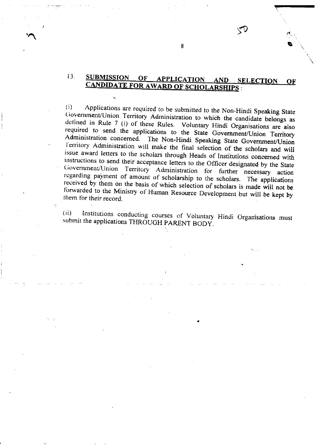#### $13.$ **SUBMISSION** OF **APPLICATION** AND SELECTION OF CANDIDATE FOR AWARD OF SCHOLARSHIPS :

Applications are required to be submitted to the Non-Hindi Speaking State  $(i)$ Government/Union Territory Administration to which the candidate belongs as defined in Rule 7 (i) of these Rules. Voluntary Hindi Organisations are also required to send the applications to the State Government/Union Territory Administration concerned. The Non-Hindi Speaking State Government/Union Territory Administration will make the final selection of the scholars and will issue award letters to the scholars through Heads of Institutions concerned with instructions to send their acceptance letters to the Officer designated by the State Government/Union Territory Administration for further necessary action regarding payment of amount of scholarship to the scholars. The applications received by them on the basis of which selection of scholars is made will not be forwarded to the Ministry of Human Resource Development but will be kept by them for their record.

 $(ii)$ Institutions conducting courses of Voluntary Hindi Organisations must submit the applications THROUGH PARENT BODY.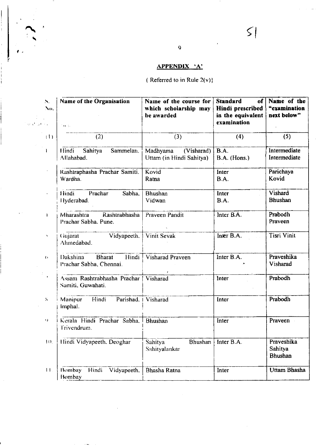# APPENDIX 'A'

# ( Referred to in Rule  $2(v)$ )

| N.<br>Nο.<br>$\mathcal{Q}(\chi^1)$ , if $\mathcal{A}(\chi)$ | <b>Name of the Organisation</b><br>$\sim 100$          | Name of the course for<br>which scholarship may<br>be awarded | <b>Standard</b><br>of <sub>1</sub><br>Hindi prescribed<br>in the equivalent<br>examination | Name of the<br>"examination<br>next below" |  |
|-------------------------------------------------------------|--------------------------------------------------------|---------------------------------------------------------------|--------------------------------------------------------------------------------------------|--------------------------------------------|--|
| (1)                                                         | (2)                                                    | (3)                                                           | (4)                                                                                        | (5)                                        |  |
|                                                             | Sammelan.<br>Hindi<br>Sahitya<br>Allahabad.            | Madhyama<br>(Visharad)<br>Uttam (in Hindi Sahitya)            | <b>B.A.</b><br>B.A. (Hons.)                                                                | Intermediate<br>Intermediate               |  |
|                                                             | Rashtraphasha Prachar Samiti.<br>Wardha.               | Kovid<br>Ratna                                                | Inter<br><b>B.A.</b>                                                                       | Parichaya<br>Kovid                         |  |
|                                                             | Hindi<br>Prachar<br>Sabha.<br>Hyderabad.               | <b>Bhushan</b><br>Vidwan                                      | Inter<br>B.A.                                                                              | Vishard<br><b>Bhushan</b>                  |  |
| î.                                                          | Mharashtra<br>Rashtrabhasha<br>Prachar Sabha, Pune.    | Praveen Pandit                                                | Inter B.A.                                                                                 | Prabodh<br>Praveen                         |  |
| ×,                                                          | Vidyapeeth,<br>Gujarat<br>Ahmedabad.                   | <b>Vinit Sevak</b>                                            | Inter B.A.                                                                                 | <b>Tisri Vinit</b>                         |  |
| $\leftrightarrow$                                           | Dakshina<br>Bharat<br>Hindi<br>Prachar Sabha, Chennai. | Visharad Praveen                                              | Inter B.A.                                                                                 | Praveshika<br>Visharad                     |  |
| $\blacksquare$                                              | Assam Rashtrabhasha Prachar<br>Samiti, Guwahati.       | Visharad                                                      | Inter                                                                                      | Prabodh                                    |  |
| $\bar{\bf S}$                                               | Hindi<br>Manipur<br>Parishad.<br>Imphal.               | Visharad                                                      | Inter                                                                                      | Prabodh                                    |  |
| v)                                                          | Kerala Hindi Prachar Sabha,<br>Trivendrum.             | <b>Bhushan</b>                                                | Inter                                                                                      | Praveen                                    |  |
| 10,                                                         | Hindi Vidyapeeth. Deoghar                              | <b>Bhushan</b><br>Sahitya<br>Sahityalankar                    | Inter B.A.                                                                                 | Praveshika<br>Sahitya<br><b>Bhushan</b>    |  |
| 11.                                                         | Bombay<br>Hindi<br>Vidyapeeth.<br>Bombay               | Bhasha Ratna                                                  | Inter                                                                                      | Uttam Bhasha                               |  |

1..

 $\leq$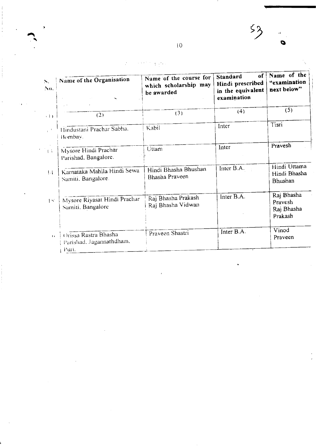$53$ Ó

#### $\frac{1}{4}$  ,  $\frac{1}{2}$  ,  $\frac{1}{2}$  $\chi$  and

| $S_{\rm{sc}}$<br>No. | Name of the Organisation                                  | Name of the course for<br>which scholarship may<br>be awarded | of <sup>1</sup><br>Standard<br>Hindi prescribed<br>in the equivalent<br>examination | Name of the<br>"examination<br>next below"     |
|----------------------|-----------------------------------------------------------|---------------------------------------------------------------|-------------------------------------------------------------------------------------|------------------------------------------------|
| (1)                  | $\pm$ $^{-1}$<br>(2)                                      | (3)                                                           | (4)                                                                                 | (5)                                            |
|                      | Hindustani Prachar Sabha.<br>Bombay.                      | Kabil                                                         | Inter                                                                               | Tisri                                          |
| $+3$                 | Mysore Hindi Prachar<br>Parishad, Bangalore.              | Uttam                                                         | Inter                                                                               | Pravesh                                        |
| $\{4\}$              | Karnataka Mahila Hindi Sewa<br>Samiti, Bangalore.         | Hindi Bhasha Bhushan<br>Bhasha Praveen                        | Inter B.A.                                                                          | Hindi Uttama<br>Hindi Bhasha<br>Bhushan        |
| $\vert \leq$         | Mysore Riyasat Hindi Prachar<br>Samiti, Bangalore         | Raj Bhasha Prakash<br>Raj Bhasha Vidwan                       | Inter B.A.                                                                          | Raj Bhasha<br>Pravesh<br>Raj Bhasha<br>Prakash |
| $\mathbf{G}$         | Orissa Rastra Bhasha<br>Parishad, Jagannathdham,<br>Puri. | Praveen Shastri                                               | Inter B.A.                                                                          | Vinod<br>Praveen                               |